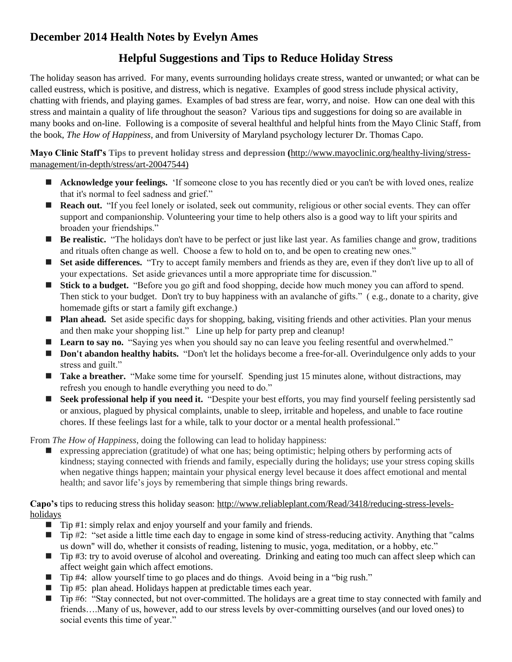## **December 2014 Health Notes by Evelyn Ames**

## **Helpful Suggestions and Tips to Reduce Holiday Stress**

The holiday season has arrived. For many, events surrounding holidays create stress, wanted or unwanted; or what can be called eustress, which is positive, and distress, which is negative. Examples of good stress include physical activity, chatting with friends, and playing games. Examples of bad stress are fear, worry, and noise. How can one deal with this stress and maintain a quality of life throughout the season? Various tips and suggestions for doing so are available in many books and on-line. Following is a composite of several healthful and helpful hints from the Mayo Clinic Staff, from the book, *[The How of Happiness,](http://www.amazon.com/gp/product/0143114956/ref=as_li_tf_tl?ie=UTF8&tag=marandang-20&linkCode=as2&camp=217145&creative=399381&creativeASIN=0143114956)* and from University of Maryland psychology lecturer Dr. Thomas Capo.

**Mayo Clinic Staff's Tips to prevent holiday stress and depression (**[http://www.mayoclinic.org/healthy-living/stress](http://www.mayoclinic.org/healthy-living/stress-management/in-depth/stress/art-20047544)[management/in-depth/stress/art-20047544\)](http://www.mayoclinic.org/healthy-living/stress-management/in-depth/stress/art-20047544)

- **Acknowledge your feelings.** 'If someone close to you has recently died or you can't be with loved ones, realize that it's normal to feel sadness and grief."
- **Reach out.** "If you feel lonely or isolated, seek out community, religious or other social events. They can offer support and companionship. Volunteering your time to help others also is a good way to lift your spirits and broaden your friendships."
- **Be realistic.** "The holidays don't have to be perfect or just like last year. As families change and grow, traditions and rituals often change as well. Choose a few to hold on to, and be open to creating new ones."
- **Set aside differences.** "Try to accept family members and friends as they are, even if they don't live up to all of your expectations. Set aside grievances until a more appropriate time for discussion."
- **Stick to a budget.** "Before you go gift and food shopping, decide how much money you can afford to spend. Then stick to your budget. Don't try to buy happiness with an avalanche of gifts." ( e.g., donate to a charity, give homemade gifts or start a family gift exchange.)
- **Plan ahead.** Set aside specific days for shopping, baking, visiting friends and other activities. Plan your menus and then make your shopping list." Line up help for party prep and cleanup!
- **Learn to say no.** "Saying yes when you should say no can leave you feeling resentful and overwhelmed."
- **Don't abandon healthy habits.** "Don't let the holidays become a free-for-all. Overindulgence only adds to your stress and guilt."
- Take a breather. "Make some time for yourself. Spending just 15 minutes alone, without distractions, may refresh you enough to handle everything you need to do."
- Seek professional help if you need it. "Despite your best efforts, you may find yourself feeling persistently sad or anxious, plagued by physical complaints, unable to sleep, irritable and hopeless, and unable to face routine chores. If these feelings last for a while, talk to your doctor or a mental health professional."

From *The How of Happiness*, doing the following can lead to holiday happiness:

 expressing appreciation (gratitude) of what one has; being optimistic; helping others by performing acts of kindness; staying connected with friends and family, especially during the holidays; use your stress coping skills when negative things happen; maintain your physical energy level because it does affect emotional and mental health; and savor life's joys by remembering that simple things bring rewards.

**Capo's** tips to reducing stress this holiday season: [http://www.reliableplant.com/Read/3418/reducing-stress-levels](http://www.reliableplant.com/Read/3418/reducing-stress-levels-holidays)[holidays](http://www.reliableplant.com/Read/3418/reducing-stress-levels-holidays)

- $\blacksquare$  Tip #1: simply relax and enjoy yourself and your family and friends.
- $\Box$  Tip #2: "set aside a little time each day to engage in some kind of stress-reducing activity. Anything that "calms" us down" will do, whether it consists of reading, listening to music, yoga, meditation, or a hobby, etc."
- Tip #3: try to avoid overuse of alcohol and overeating. Drinking and eating too much can affect sleep which can affect weight gain which affect emotions.
- $\blacksquare$  Tip #4: allow yourself time to go places and do things. Avoid being in a "big rush."
- Tip #5: plan ahead. Holidays happen at predictable times each year.
- Tip #6: "Stay connected, but not over-committed. The holidays are a great time to stay connected with family and friends….Many of us, however, add to our stress levels by over-committing ourselves (and our loved ones) to social events this time of year."